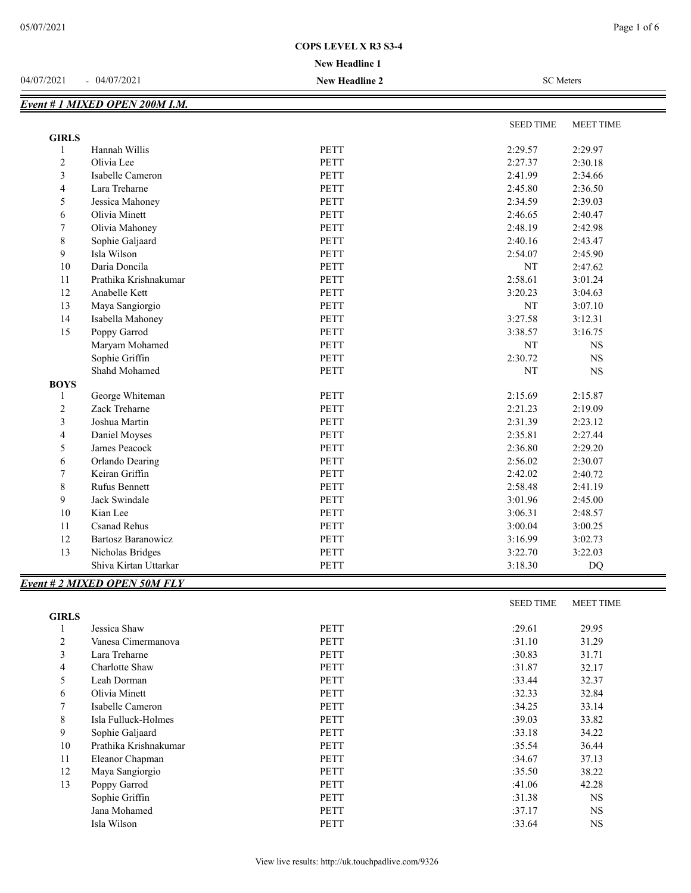## **New Headline 1**

#### 04/07/2021 - 04/07/2021 **New Headline 2** SC Meters

|                | Event # 1 MIXED OPEN 200M I.M. |             |                  |                  |
|----------------|--------------------------------|-------------|------------------|------------------|
|                |                                |             | <b>SEED TIME</b> | <b>MEET TIME</b> |
| <b>GIRLS</b>   |                                |             |                  |                  |
| $\mathbf{1}$   | Hannah Willis                  | <b>PETT</b> | 2:29.57          | 2:29.97          |
| $\sqrt{2}$     | Olivia Lee                     | PETT        | 2:27.37          | 2:30.18          |
| $\mathfrak{Z}$ | Isabelle Cameron               | <b>PETT</b> | 2:41.99          | 2:34.66          |
| $\overline{4}$ | Lara Treharne                  | PETT        | 2:45.80          | 2:36.50          |
| $\mathfrak s$  | Jessica Mahoney                | <b>PETT</b> | 2:34.59          | 2:39.03          |
| $\epsilon$     | Olivia Minett                  | PETT        | 2:46.65          | 2:40.47          |
| 7              | Olivia Mahoney                 | PETT        | 2:48.19          | 2:42.98          |
| $\,$ 8 $\,$    | Sophie Galjaard                | PETT        | 2:40.16          | 2:43.47          |
| 9              | Isla Wilson                    | <b>PETT</b> | 2:54.07          | 2:45.90          |
| $10\,$         | Daria Doncila                  | PETT        | NT               | 2:47.62          |
| 11             | Prathika Krishnakumar          | PETT        | 2:58.61          | 3:01.24          |
| 12             | Anabelle Kett                  | <b>PETT</b> | 3:20.23          | 3:04.63          |
| 13             | Maya Sangiorgio                | <b>PETT</b> | NT               | 3:07.10          |
| 14             | Isabella Mahoney               | PETT        | 3:27.58          | 3:12.31          |
| 15             | Poppy Garrod                   | <b>PETT</b> | 3:38.57          | 3:16.75          |
|                | Maryam Mohamed                 | <b>PETT</b> | NT               | <b>NS</b>        |
|                | Sophie Griffin                 | <b>PETT</b> | 2:30.72          | $_{\rm NS}$      |
|                | Shahd Mohamed                  | PETT        | NT               | $_{\rm NS}$      |
| <b>BOYS</b>    |                                |             |                  |                  |
| -1             | George Whiteman                | <b>PETT</b> | 2:15.69          | 2:15.87          |
| $\overline{c}$ | Zack Treharne                  | <b>PETT</b> | 2:21.23          | 2:19.09          |
| $\mathfrak{Z}$ | Joshua Martin                  | PETT        | 2:31.39          | 2:23.12          |
| $\overline{4}$ | Daniel Moyses                  | <b>PETT</b> | 2:35.81          | 2:27.44          |
| 5              | James Peacock                  | <b>PETT</b> | 2:36.80          | 2:29.20          |
| 6              | Orlando Dearing                | <b>PETT</b> | 2:56.02          | 2:30.07          |
| 7              | Keiran Griffin                 | PETT        | 2:42.02          | 2:40.72          |
| $\,$ 8 $\,$    | Rufus Bennett                  | PETT        | 2:58.48          | 2:41.19          |
| 9              | Jack Swindale                  | <b>PETT</b> | 3:01.96          | 2:45.00          |
| 10             | Kian Lee                       | <b>PETT</b> | 3:06.31          | 2:48.57          |
| 11             | <b>Csanad Rehus</b>            | PETT        | 3:00.04          | 3:00.25          |
| 12             | <b>Bartosz Baranowicz</b>      | <b>PETT</b> | 3:16.99          | 3:02.73          |
| 13             | Nicholas Bridges               | <b>PETT</b> | 3:22.70          | 3:22.03          |
|                | Shiva Kirtan Uttarkar          | <b>PETT</b> | 3:18.30          | <b>DQ</b>        |

# *Event # 2 MIXED OPEN 50M FLY*

|                |                       |             | <b>SEED TIME</b> | <b>MEET TIME</b> |
|----------------|-----------------------|-------------|------------------|------------------|
| <b>GIRLS</b>   |                       |             |                  |                  |
|                | Jessica Shaw          | <b>PETT</b> | :29.61           | 29.95            |
| $\overline{2}$ | Vanesa Cimermanova    | <b>PETT</b> | :31.10           | 31.29            |
| 3              | Lara Treharne         | <b>PETT</b> | :30.83           | 31.71            |
| 4              | Charlotte Shaw        | <b>PETT</b> | :31.87           | 32.17            |
| 5              | Leah Dorman           | <b>PETT</b> | :33.44           | 32.37            |
| 6              | Olivia Minett         | <b>PETT</b> | :32.33           | 32.84            |
| 7              | Isabelle Cameron      | <b>PETT</b> | :34.25           | 33.14            |
| 8              | Isla Fulluck-Holmes   | <b>PETT</b> | :39.03           | 33.82            |
| 9              | Sophie Galjaard       | <b>PETT</b> | :33.18           | 34.22            |
| 10             | Prathika Krishnakumar | <b>PETT</b> | :35.54           | 36.44            |
| 11             | Eleanor Chapman       | PETT        | :34.67           | 37.13            |
| 12             | Maya Sangiorgio       | <b>PETT</b> | :35.50           | 38.22            |
| 13             | Poppy Garrod          | <b>PETT</b> | :41.06           | 42.28            |
|                | Sophie Griffin        | <b>PETT</b> | :31.38           | <b>NS</b>        |
|                | Jana Mohamed          | <b>PETT</b> | :37.17           | <b>NS</b>        |
|                | Isla Wilson           | <b>PETT</b> | :33.64           | <b>NS</b>        |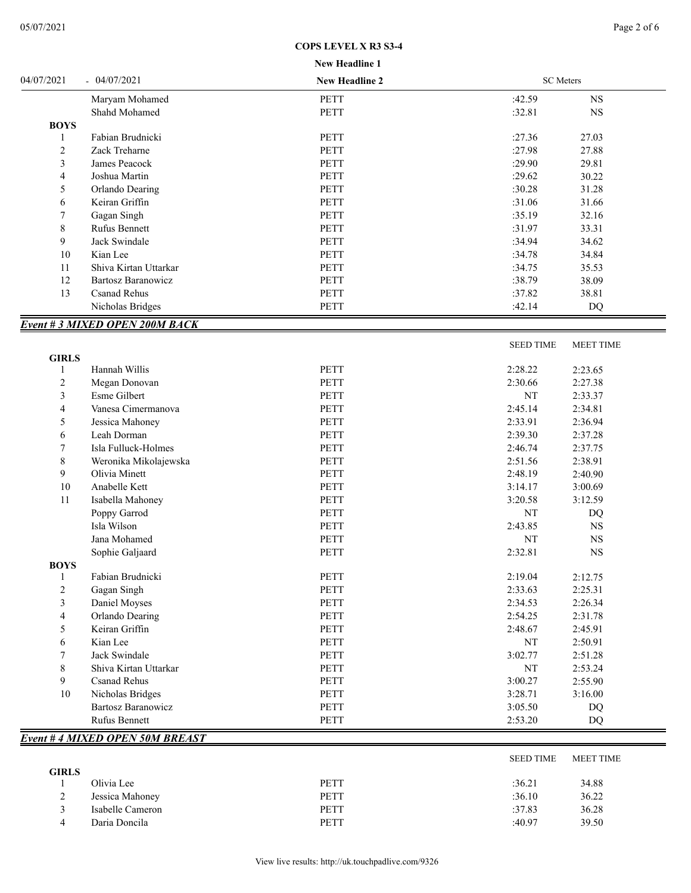| <b>New Headline 1</b> |  |
|-----------------------|--|

| 04/07/2021  | $-04/07/2021$                        | <b>New Headline 2</b> | <b>SC</b> Meters |                  |
|-------------|--------------------------------------|-----------------------|------------------|------------------|
|             | Maryam Mohamed                       | <b>PETT</b>           | :42.59           | <b>NS</b>        |
|             | Shahd Mohamed                        | <b>PETT</b>           | :32.81           | <b>NS</b>        |
| <b>BOYS</b> |                                      |                       |                  |                  |
|             | Fabian Brudnicki                     | <b>PETT</b>           | :27.36           | 27.03            |
| 2           | Zack Treharne                        | <b>PETT</b>           | :27.98           | 27.88            |
| 3           | James Peacock                        | PETT                  | :29.90           | 29.81            |
| 4           | Joshua Martin                        | <b>PETT</b>           | :29.62           | 30.22            |
| 5           | Orlando Dearing                      | <b>PETT</b>           | :30.28           | 31.28            |
| 6           | Keiran Griffin                       | <b>PETT</b>           | :31.06           | 31.66            |
|             | Gagan Singh                          | <b>PETT</b>           | :35.19           | 32.16            |
| 8           | <b>Rufus Bennett</b>                 | <b>PETT</b>           | :31.97           | 33.31            |
| 9           | Jack Swindale                        | PETT                  | :34.94           | 34.62            |
| 10          | Kian Lee                             | <b>PETT</b>           | :34.78           | 34.84            |
| 11          | Shiva Kirtan Uttarkar                | <b>PETT</b>           | :34.75           | 35.53            |
| 12          | Bartosz Baranowicz                   | <b>PETT</b>           | :38.79           | 38.09            |
| 13          | <b>Csanad Rehus</b>                  | <b>PETT</b>           | :37.82           | 38.81            |
|             | Nicholas Bridges                     | PETT                  | :42.14           | <b>DQ</b>        |
|             | <b>Event #3 MIXED OPEN 200M BACK</b> |                       |                  |                  |
|             |                                      |                       | <b>SEED TIME</b> | <b>MEET TIME</b> |

| <b>GIRLS</b>   |                       |             |         |           |  |
|----------------|-----------------------|-------------|---------|-----------|--|
| 1              | Hannah Willis         | <b>PETT</b> | 2:28.22 | 2:23.65   |  |
| $\overline{c}$ | Megan Donovan         | <b>PETT</b> | 2:30.66 | 2:27.38   |  |
| 3              | Esme Gilbert          | <b>PETT</b> | NT      | 2:33.37   |  |
| 4              | Vanesa Cimermanova    | <b>PETT</b> | 2:45.14 | 2:34.81   |  |
| 5              | Jessica Mahoney       | <b>PETT</b> | 2:33.91 | 2:36.94   |  |
| 6              | Leah Dorman           | <b>PETT</b> | 2:39.30 | 2:37.28   |  |
| 7              | Isla Fulluck-Holmes   | <b>PETT</b> | 2:46.74 | 2:37.75   |  |
| 8              | Weronika Mikolajewska | <b>PETT</b> | 2:51.56 | 2:38.91   |  |
| 9              | Olivia Minett         | <b>PETT</b> | 2:48.19 | 2:40.90   |  |
| 10             | Anabelle Kett         | <b>PETT</b> | 3:14.17 | 3:00.69   |  |
| 11             | Isabella Mahoney      | <b>PETT</b> | 3:20.58 | 3:12.59   |  |
|                | Poppy Garrod          | <b>PETT</b> | NT      | DQ        |  |
|                | Isla Wilson           | <b>PETT</b> | 2:43.85 | <b>NS</b> |  |
|                | Jana Mohamed          | <b>PETT</b> | NT      | <b>NS</b> |  |
|                | Sophie Galjaard       | <b>PETT</b> | 2:32.81 | <b>NS</b> |  |
| <b>BOYS</b>    |                       |             |         |           |  |
|                | Fabian Brudnicki      | <b>PETT</b> | 2:19.04 | 2:12.75   |  |
| $\overline{c}$ | Gagan Singh           | <b>PETT</b> | 2:33.63 | 2:25.31   |  |
| 3              | Daniel Moyses         | <b>PETT</b> | 2:34.53 | 2:26.34   |  |
| 4              | Orlando Dearing       | <b>PETT</b> | 2:54.25 | 2:31.78   |  |
| 5              | Keiran Griffin        | <b>PETT</b> | 2:48.67 | 2:45.91   |  |
| 6              | Kian Lee              | <b>PETT</b> | NT      | 2:50.91   |  |
| 7              | Jack Swindale         | <b>PETT</b> | 3:02.77 | 2:51.28   |  |
| 8              | Shiva Kirtan Uttarkar | <b>PETT</b> | NT      | 2:53.24   |  |
| 9              | <b>Csanad Rehus</b>   | <b>PETT</b> | 3:00.27 | 2:55.90   |  |
| 10             | Nicholas Bridges      | <b>PETT</b> | 3:28.71 | 3:16.00   |  |
|                | Bartosz Baranowicz    | PETT        | 3:05.50 | DQ        |  |
|                | Rufus Bennett         | PETT        | 2:53.20 | DQ        |  |

# *Event # 4 MIXED OPEN 50M BREAST*

|                |                  |             | SEED TIME | MEET TIME |
|----------------|------------------|-------------|-----------|-----------|
| <b>GIRLS</b>   |                  |             |           |           |
|                | Olivia Lee       | <b>PETT</b> | :36.21    | 34.88     |
| $\bigcap$<br>∸ | Jessica Mahoney  | <b>PETT</b> | :36.10    | 36.22     |
|                | Isabelle Cameron | PETT        | :37.83    | 36.28     |
| 4              | Daria Doncila    | <b>PETT</b> | :40.97    | 39.50     |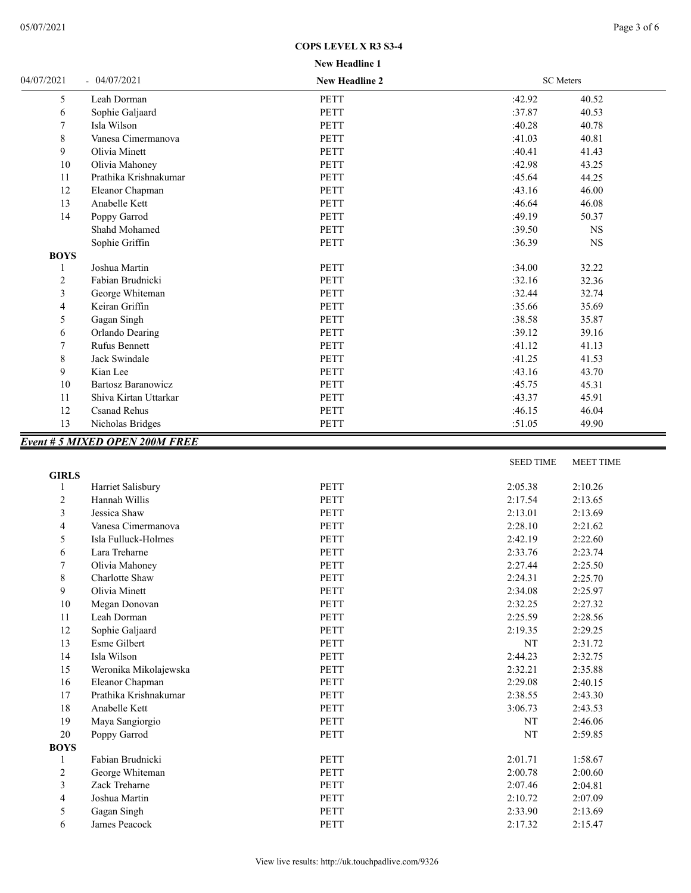## **COPS LEVEL X R3 S3-4**

| 04/07/2021  | $-04/07/2021$                         | <b>New Headline 2</b> |        | <b>SC</b> Meters |  |
|-------------|---------------------------------------|-----------------------|--------|------------------|--|
| 5           | Leah Dorman                           | <b>PETT</b>           | :42.92 | 40.52            |  |
| 6           | Sophie Galjaard                       | <b>PETT</b>           | :37.87 | 40.53            |  |
| 7           | Isla Wilson                           | <b>PETT</b>           | :40.28 | 40.78            |  |
| 8           | Vanesa Cimermanova                    | <b>PETT</b>           | :41.03 | 40.81            |  |
| 9           | Olivia Minett                         | <b>PETT</b>           | :40.41 | 41.43            |  |
| 10          | Olivia Mahoney                        | <b>PETT</b>           | :42.98 | 43.25            |  |
| 11          | Prathika Krishnakumar                 | <b>PETT</b>           | :45.64 | 44.25            |  |
| 12          | Eleanor Chapman                       | <b>PETT</b>           | :43.16 | 46.00            |  |
| 13          | Anabelle Kett                         | <b>PETT</b>           | :46.64 | 46.08            |  |
| 14          | Poppy Garrod                          | <b>PETT</b>           | :49.19 | 50.37            |  |
|             | Shahd Mohamed                         | <b>PETT</b>           | :39.50 | <b>NS</b>        |  |
|             | Sophie Griffin                        | <b>PETT</b>           | :36.39 | <b>NS</b>        |  |
| <b>BOYS</b> |                                       |                       |        |                  |  |
|             | Joshua Martin                         | <b>PETT</b>           | :34.00 | 32.22            |  |
| 2           | Fabian Brudnicki                      | <b>PETT</b>           | :32.16 | 32.36            |  |
| 3           | George Whiteman                       | <b>PETT</b>           | :32.44 | 32.74            |  |
| 4           | Keiran Griffin                        | <b>PETT</b>           | :35.66 | 35.69            |  |
| 5           | Gagan Singh                           | <b>PETT</b>           | :38.58 | 35.87            |  |
| 6           | Orlando Dearing                       | <b>PETT</b>           | :39.12 | 39.16            |  |
| $\tau$      | <b>Rufus Bennett</b>                  | <b>PETT</b>           | :41.12 | 41.13            |  |
| 8           | Jack Swindale                         | <b>PETT</b>           | :41.25 | 41.53            |  |
| 9           | Kian Lee                              | <b>PETT</b>           | :43.16 | 43.70            |  |
| 10          | <b>Bartosz Baranowicz</b>             | <b>PETT</b>           | :45.75 | 45.31            |  |
| 11          | Shiva Kirtan Uttarkar                 | <b>PETT</b>           | :43.37 | 45.91            |  |
| 12          | <b>Csanad Rehus</b>                   | <b>PETT</b>           | :46.15 | 46.04            |  |
| 13          | Nicholas Bridges                      | <b>PETT</b>           | :51.05 | 49.90            |  |
|             | <b>Event # 5 MIXED OPEN 200M FREE</b> |                       |        |                  |  |

|              |                       |             | <b>SEED TIME</b> | <b>MEET TIME</b> |
|--------------|-----------------------|-------------|------------------|------------------|
| <b>GIRLS</b> |                       |             |                  |                  |
|              | Harriet Salisbury     | <b>PETT</b> | 2:05.38          | 2:10.26          |
| 2            | Hannah Willis         | <b>PETT</b> | 2:17.54          | 2:13.65          |
| 3            | Jessica Shaw          | <b>PETT</b> | 2:13.01          | 2:13.69          |
| 4            | Vanesa Cimermanova    | <b>PETT</b> | 2:28.10          | 2:21.62          |
| 5            | Isla Fulluck-Holmes   | <b>PETT</b> | 2:42.19          | 2:22.60          |
| 6            | Lara Treharne         | <b>PETT</b> | 2:33.76          | 2:23.74          |
| 7            | Olivia Mahoney        | <b>PETT</b> | 2:27.44          | 2:25.50          |
| 8            | Charlotte Shaw        | PETT        | 2:24.31          | 2:25.70          |
| 9            | Olivia Minett         | <b>PETT</b> | 2:34.08          | 2:25.97          |
| 10           | Megan Donovan         | <b>PETT</b> | 2:32.25          | 2:27.32          |
| 11           | Leah Dorman           | <b>PETT</b> | 2:25.59          | 2:28.56          |
| 12           | Sophie Galjaard       | <b>PETT</b> | 2:19.35          | 2:29.25          |
| 13           | Esme Gilbert          | <b>PETT</b> | NT               | 2:31.72          |
| 14           | Isla Wilson           | <b>PETT</b> | 2:44.23          | 2:32.75          |
| 15           | Weronika Mikolajewska | <b>PETT</b> | 2:32.21          | 2:35.88          |
| 16           | Eleanor Chapman       | <b>PETT</b> | 2:29.08          | 2:40.15          |
| 17           | Prathika Krishnakumar | <b>PETT</b> | 2:38.55          | 2:43.30          |
| 18           | Anabelle Kett         | <b>PETT</b> | 3:06.73          | 2:43.53          |
| 19           | Maya Sangiorgio       | PETT        | NT               | 2:46.06          |
| 20           | Poppy Garrod          | <b>PETT</b> | NT               | 2:59.85          |
| <b>BOYS</b>  |                       |             |                  |                  |
| 1            | Fabian Brudnicki      | <b>PETT</b> | 2:01.71          | 1:58.67          |
| 2            | George Whiteman       | <b>PETT</b> | 2:00.78          | 2:00.60          |
| 3            | Zack Treharne         | <b>PETT</b> | 2:07.46          | 2:04.81          |
| 4            | Joshua Martin         | <b>PETT</b> | 2:10.72          | 2:07.09          |
| 5            | Gagan Singh           | PETT        | 2:33.90          | 2:13.69          |
| 6            | James Peacock         | <b>PETT</b> | 2:17.32          | 2:15.47          |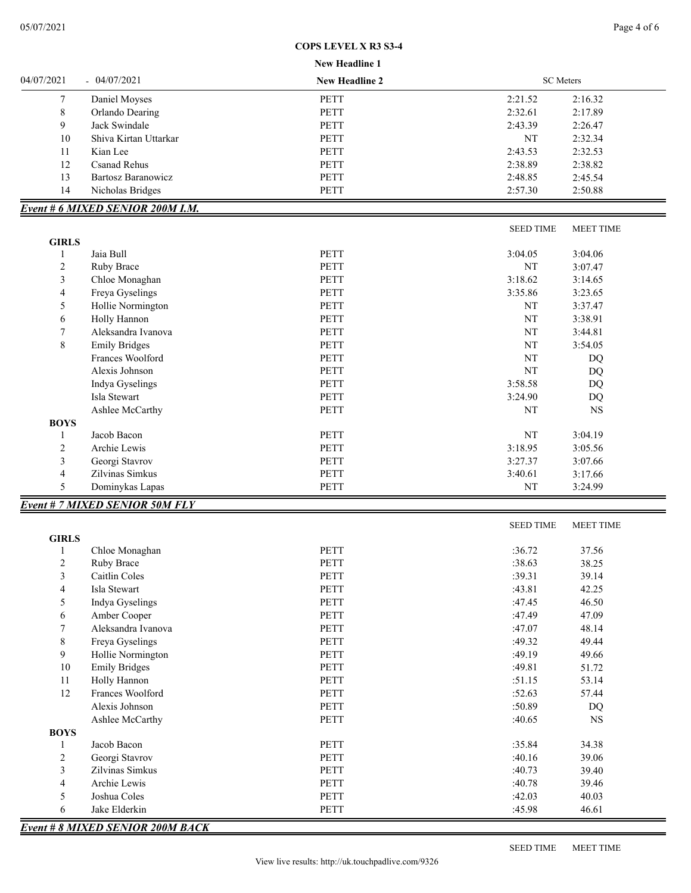## **COPS LEVEL X R3 S3-4**

|                          |                                         | New Headline 1        |                  |                  |
|--------------------------|-----------------------------------------|-----------------------|------------------|------------------|
| 04/07/2021               | $-04/07/2021$                           | <b>New Headline 2</b> | <b>SC</b> Meters |                  |
| 7                        | Daniel Moyses                           | PETT                  | 2:21.52          | 2:16.32          |
| $\,$ 8 $\,$              | Orlando Dearing                         | <b>PETT</b>           | 2:32.61          | 2:17.89          |
| 9                        | Jack Swindale                           | <b>PETT</b>           | 2:43.39          | 2:26.47          |
| 10                       | Shiva Kirtan Uttarkar                   | PETT                  | NT               | 2:32.34          |
| 11                       | Kian Lee                                | <b>PETT</b>           | 2:43.53          | 2:32.53          |
| 12                       | Csanad Rehus                            | <b>PETT</b>           | 2:38.89          | 2:38.82          |
| 13                       | <b>Bartosz Baranowicz</b>               | <b>PETT</b>           | 2:48.85          | 2:45.54          |
| 14                       | Nicholas Bridges                        | PETT                  | 2:57.30          | 2:50.88          |
|                          | <b>Event # 6 MIXED SENIOR 200M I.M.</b> |                       |                  |                  |
|                          |                                         |                       | <b>SEED TIME</b> | <b>MEET TIME</b> |
| <b>GIRLS</b>             |                                         |                       |                  |                  |
| 1                        | Jaia Bull                               | <b>PETT</b>           | 3:04.05          | 3:04.06          |
| 2                        | Ruby Brace                              | <b>PETT</b>           | NT               | 3:07.47          |
| 3                        | Chloe Monaghan                          | <b>PETT</b>           | 3:18.62          | 3:14.65          |
| $\overline{4}$           | Freya Gyselings                         | PETT                  | 3:35.86          | 3:23.65          |
| 5                        | Hollie Normington                       | <b>PETT</b>           | NT               | 3:37.47          |
| 6                        | Holly Hannon                            | <b>PETT</b>           | NT               | 3:38.91          |
| 7                        | Aleksandra Ivanova                      | <b>PETT</b>           | NT               | 3:44.81          |
| $\,$ 8 $\,$              | <b>Emily Bridges</b>                    | <b>PETT</b>           | NT               | 3:54.05          |
|                          | Frances Woolford                        | PETT                  | NT               | DQ               |
|                          | Alexis Johnson                          | <b>PETT</b>           | NT               | DQ               |
|                          | Indya Gyselings                         | PETT                  | 3:58.58          | DQ               |
|                          | Isla Stewart                            | <b>PETT</b>           |                  |                  |
|                          |                                         |                       | 3:24.90          | DQ               |
| <b>BOYS</b>              | Ashlee McCarthy                         | <b>PETT</b>           | NT               | <b>NS</b>        |
| 1                        | Jacob Bacon                             | PETT                  | NT               | 3:04.19          |
| $\overline{c}$           | Archie Lewis                            | PETT                  | 3:18.95          | 3:05.56          |
| $\mathfrak{Z}$           | Georgi Stavrov                          | PETT                  | 3:27.37          | 3:07.66          |
| $\overline{\mathbf{4}}$  | Zilvinas Simkus                         | PETT                  | 3:40.61          | 3:17.66          |
| 5                        | Dominykas Lapas                         | PETT                  | NT               | 3:24.99          |
|                          | <b>Event # 7 MIXED SENIOR 50M FLY</b>   |                       |                  |                  |
|                          |                                         |                       | <b>SEED TIME</b> | <b>MEET TIME</b> |
| <b>GIRLS</b>             |                                         |                       |                  |                  |
| 1                        | Chloe Monaghan                          | PETT                  | :36.72           | 37.56            |
| $\overline{c}$           | Ruby Brace                              | PETT                  | :38.63           | 38.25            |
| $\mathfrak{Z}$           | Caitlin Coles                           | PETT                  | :39.31           | 39.14            |
| $\overline{\mathcal{L}}$ | Isla Stewart                            | PETT                  | :43.81           | 42.25            |
| $\mathfrak s$            | Indya Gyselings                         | PETT                  | :47.45           | 46.50            |
| $\sqrt{6}$               | Amber Cooper                            | PETT                  | :47.49           | 47.09            |
| $\boldsymbol{7}$         | Aleksandra Ivanova                      | PETT                  | :47.07           | 48.14            |
| $\,$ 8 $\,$              | Freya Gyselings                         | PETT                  | :49.32           | 49.44            |
| 9                        | Hollie Normington                       | PETT                  | :49.19           | 49.66            |
|                          |                                         |                       |                  |                  |
| $10\,$                   | <b>Emily Bridges</b>                    | PETT                  | :49.81           | 51.72            |
| 11                       | Holly Hannon                            | PETT                  | :51.15           | 53.14            |
| 12                       | Frances Woolford                        | PETT                  | :52.63           | 57.44            |
|                          | Alexis Johnson                          | PETT                  | :50.89           | DQ               |
|                          | Ashlee McCarthy                         | PETT                  | :40.65           | $_{\rm NS}$      |
| <b>BOYS</b>              |                                         |                       |                  |                  |
| $\mathbf{1}$             | Jacob Bacon                             | PETT                  | :35.84           | 34.38            |
| $\sqrt{2}$               | Georgi Stavrov                          | PETT                  | :40.16           | 39.06            |
| $\mathfrak{Z}$           | Zilvinas Simkus                         | PETT                  | :40.73           | 39.40            |
| $\overline{4}$           | Archie Lewis                            | PETT                  | :40.78           | 39.46            |
| 5                        | Joshua Coles                            | PETT                  | :42.03           | 40.03            |
| $\epsilon$               | Jake Elderkin                           | <b>PETT</b>           | :45.98           | 46.61            |

*Event # 8 MIXED SENIOR 200M BACK*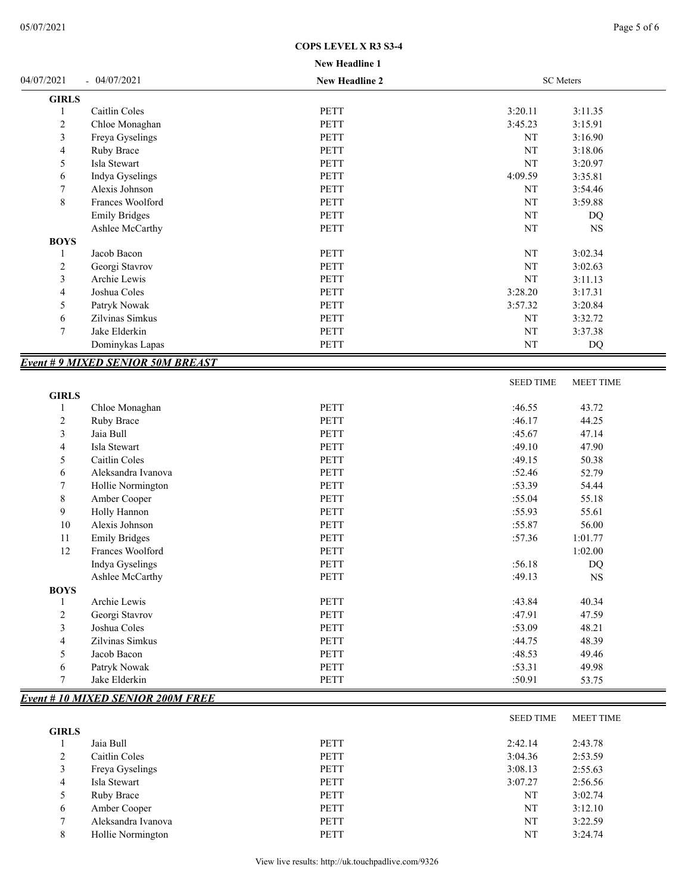| <b>B</b> T |  | - 11. |  |
|------------|--|-------|--|

|                |                                         | New Headline 1 |                  |                        |
|----------------|-----------------------------------------|----------------|------------------|------------------------|
| 04/07/2021     | $-04/07/2021$                           | New Headline 2 | <b>SC</b> Meters |                        |
| <b>GIRLS</b>   |                                         |                |                  |                        |
| -1             | Caitlin Coles                           | PETT           | 3:20.11          | 3:11.35                |
| $\overline{2}$ | Chloe Monaghan                          | <b>PETT</b>    | 3:45.23          | 3:15.91                |
| 3              | Freya Gyselings                         | PETT           | NT               | 3:16.90                |
| 4              | Ruby Brace                              | PETT           | $\rm{NT}$        | 3:18.06                |
| 5              | Isla Stewart                            | PETT           | $\rm{NT}$        | 3:20.97                |
| 6              | Indya Gyselings                         | <b>PETT</b>    | 4:09.59          | 3:35.81                |
| 7              | Alexis Johnson                          | <b>PETT</b>    | NT               | 3:54.46                |
| $\,$ $\,$      | Frances Woolford                        | <b>PETT</b>    | NT               | 3:59.88                |
|                | <b>Emily Bridges</b>                    | PETT           | NT               | DQ                     |
|                | Ashlee McCarthy                         | PETT           | NT               | <b>NS</b>              |
| <b>BOYS</b>    |                                         |                |                  |                        |
| -1             | Jacob Bacon                             | PETT           | $\rm{NT}$        | 3:02.34                |
| $\overline{2}$ | Georgi Stavrov                          | PETT           | $\rm{NT}$        | 3:02.63                |
| 3              | Archie Lewis                            | PETT           | NT               | 3:11.13                |
| 4              | Joshua Coles                            | PETT           | 3:28.20          | 3:17.31                |
| 5              | Patryk Nowak                            | PETT           | 3:57.32          | 3:20.84                |
| 6              | Zilvinas Simkus                         | PETT           | NT               | 3:32.72                |
| 7              | Jake Elderkin                           | PETT           | NT               | 3:37.38                |
|                | Dominykas Lapas                         | PETT           | NT               | DQ                     |
|                | <b>Event #9 MIXED SENIOR 50M BREAST</b> |                |                  |                        |
|                |                                         |                | <b>SEED TIME</b> | <b>MEET TIME</b>       |
| <b>GIRLS</b>   |                                         |                |                  |                        |
| 1              | Chloe Monaghan                          | PETT           | :46.55           | 43.72                  |
| $\sqrt{2}$     | Ruby Brace                              | <b>PETT</b>    | :46.17           | 44.25                  |
| 3              | Jaia Bull                               | PETT           | :45.67           | 47.14                  |
| 4              | Isla Stewart                            | <b>PETT</b>    | :49.10           | 47.90                  |
| 5              | Caitlin Coles                           | PETT           | :49.15           | 50.38                  |
| 6              | Aleksandra Ivanova                      | <b>PETT</b>    | :52.46           | 52.79                  |
| 7              | Hollie Normington                       | PETT           | :53.39           | 54.44                  |
| 8              | Amber Cooper                            | PETT           | :55.04           | 55.18                  |
| 9              | Holly Hannon                            | <b>PETT</b>    | :55.93           | 55.61                  |
| 10             | Alexis Johnson                          | <b>PETT</b>    | :55.87           | 56.00                  |
| 11             | <b>Emily Bridges</b>                    | PETT           | :57.36           | 1:01.77                |
| 12             | Frances Woolford                        | PETT           |                  | 1:02.00                |
|                | Indya Gyselings                         | PETT           | :56.18           | $\mathbf{D}\mathbf{Q}$ |
|                | Ashlee McCarthy                         | PETT           | :49.13           | <b>NS</b>              |
| <b>BOYS</b>    |                                         |                |                  |                        |
| 1              | Archie Lewis                            | PETT           | :43.84           | 40.34                  |
| $\sqrt{2}$     | Georgi Stavrov                          | PETT           | :47.91           | 47.59                  |
| 3              | Joshua Coles                            | <b>PETT</b>    | :53.09           | 48.21                  |
| 4              | Zilvinas Simkus                         | PETT           | :44.75           | 48.39                  |
| 5              | Jacob Bacon                             | PETT           | :48.53           | 49.46                  |
| 6              | Patryk Nowak                            | PETT           | :53.31           | 49.98                  |
| 7              | Jake Elderkin                           | PETT           | :50.91           | 53.75                  |
|                | <b>Event #10 MIXED SENIOR 200M FREE</b> |                |                  |                        |

|              |                    |             | <b>SEED TIME</b> | <b>MEET TIME</b> |  |
|--------------|--------------------|-------------|------------------|------------------|--|
| <b>GIRLS</b> |                    |             |                  |                  |  |
|              | Jaia Bull          | <b>PETT</b> | 2:42.14          | 2:43.78          |  |
| 2            | Caitlin Coles      | <b>PETT</b> | 3:04.36          | 2:53.59          |  |
| 3            | Freya Gyselings    | <b>PETT</b> | 3:08.13          | 2:55.63          |  |
| 4            | Isla Stewart       | <b>PETT</b> | 3:07.27          | 2:56.56          |  |
| 5            | Ruby Brace         | <b>PETT</b> | NT               | 3:02.74          |  |
| 6            | Amber Cooper       | <b>PETT</b> | NT               | 3:12.10          |  |
| $\mathbf{r}$ | Aleksandra Ivanova | <b>PETT</b> | NT               | 3:22.59          |  |
| 8            | Hollie Normington  | <b>PETT</b> | NT               | 3:24.74          |  |